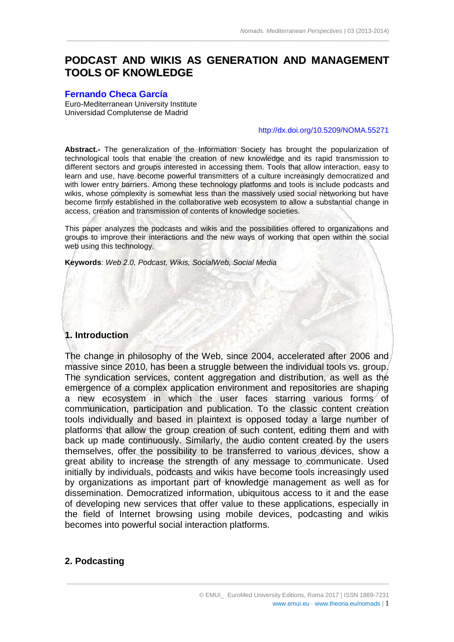# **PODCAST AND WIKIS AS GENERATION AND MANAGEMENT TOOLS OF KNOWLEDGE**

 $\_$  ,  $\_$  ,  $\_$  ,  $\_$  ,  $\_$  ,  $\_$  ,  $\_$  ,  $\_$  ,  $\_$  ,  $\_$  ,  $\_$  ,  $\_$  ,  $\_$  ,  $\_$  ,  $\_$  ,  $\_$  ,  $\_$  ,  $\_$  ,  $\_$  ,  $\_$  ,  $\_$  ,  $\_$  ,  $\_$  ,  $\_$  ,  $\_$  ,  $\_$  ,  $\_$  ,  $\_$  ,  $\_$  ,  $\_$  ,  $\_$  ,  $\_$  ,  $\_$  ,  $\_$  ,  $\_$  ,  $\_$  ,  $\_$  ,

#### **[Fernando Checa García](mailto:fernando.checa@emui.ucm.es)**

Euro-Mediterranean University Institute Universidad Complutense de Madrid

#### <http://dx.doi.org/10.5209/NOMA.55271>

**Abstract.-** The generalization of the Information Society has brought the popularization of technological tools that enable the creation of new knowledge and its rapid transmission to different sectors and groups interested in accessing them. Tools that allow interaction, easy to learn and use, have become powerful transmitters of a culture increasingly democratized and with lower entry barriers. Among these technology platforms and tools is include podcasts and wikis, whose complexity is somewhat less than the massively used social networking but have become firmly established in the collaborative web ecosystem to allow a substantial change in access, creation and transmission of contents of knowledge societies.

This paper analyzes the podcasts and wikis and the possibilities offered to organizations and groups to improve their interactions and the new ways of working that open within the social web using this technology.

**Keywords**: *Web 2.0, Podcast, Wikis, SocialWeb, Social Media*

### **1. Introduction**

The change in philosophy of the Web, since 2004, accelerated after 2006 and massive since 2010, has been a struggle between the individual tools vs. group. The syndication services, content aggregation and distribution, as well as the emergence of a complex application environment and repositories are shaping a new ecosystem in which the user faces starring various forms of communication, participation and publication. To the classic content creation tools individually and based in plaintext is opposed today a large number of platforms that allow the group creation of such content, editing them and with back up made continuously. Similarly, the audio content created by the users themselves, offer the possibility to be transferred to various devices, show a great ability to increase the strength of any message to communicate. Used initially by individuals, podcasts and wikis have become tools increasingly used by organizations as important part of knowledge management as well as for dissemination. Democratized information, ubiquitous access to it and the ease of developing new services that offer value to these applications, especially in the field of Internet browsing using mobile devices, podcasting and wikis becomes into powerful social interaction platforms.

 $\_$  , and the state of the state of the state of the state of the state of the state of the state of the state of the state of the state of the state of the state of the state of the state of the state of the state of the

### **2. Podcasting**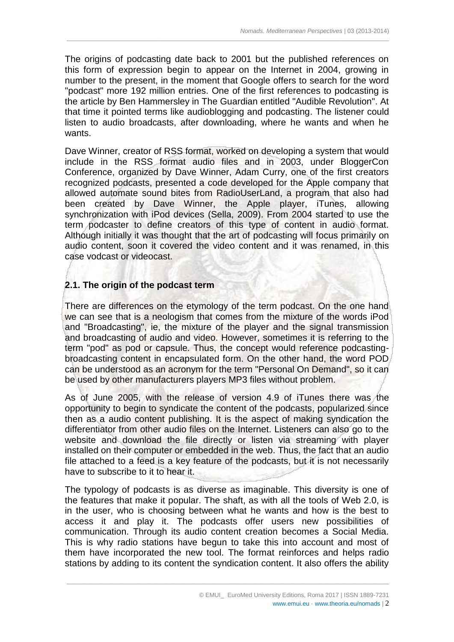The origins of podcasting date back to 2001 but the published references on this form of expression begin to appear on the Internet in 2004, growing in number to the present, in the moment that Google offers to search for the word "podcast" more 192 million entries. One of the first references to podcasting is the article by Ben Hammersley in The Guardian entitled "Audible Revolution". At that time it pointed terms like audioblogging and podcasting. The listener could listen to audio broadcasts, after downloading, where he wants and when he wants.

 $\_$  ,  $\_$  ,  $\_$  ,  $\_$  ,  $\_$  ,  $\_$  ,  $\_$  ,  $\_$  ,  $\_$  ,  $\_$  ,  $\_$  ,  $\_$  ,  $\_$  ,  $\_$  ,  $\_$  ,  $\_$  ,  $\_$  ,  $\_$  ,  $\_$  ,  $\_$  ,  $\_$  ,  $\_$  ,  $\_$  ,  $\_$  ,  $\_$  ,  $\_$  ,  $\_$  ,  $\_$  ,  $\_$  ,  $\_$  ,  $\_$  ,  $\_$  ,  $\_$  ,  $\_$  ,  $\_$  ,  $\_$  ,  $\_$  ,

Dave Winner, creator of RSS format, worked on developing a system that would include in the RSS format audio files and in 2003, under BloggerCon Conference, organized by Dave Winner, Adam Curry, one of the first creators recognized podcasts, presented a code developed for the Apple company that allowed automate sound bites from RadioUserLand, a program that also had been created by Dave Winner, the Apple player, iTunes, allowing synchronization with iPod devices (Sella, 2009). From 2004 started to use the term podcaster to define creators of this type of content in audio format. Although initially it was thought that the art of podcasting will focus primarily on audio content, soon it covered the video content and it was renamed, in this case vodcast or videocast.

# **2.1. The origin of the podcast term**

There are differences on the etymology of the term podcast. On the one hand we can see that is a neologism that comes from the mixture of the words iPod and "Broadcasting", ie, the mixture of the player and the signal transmission and broadcasting of audio and video. However, sometimes it is referring to the term "pod" as pod or capsule. Thus, the concept would reference podcastingbroadcasting content in encapsulated form. On the other hand, the word POD can be understood as an acronym for the term "Personal On Demand", so it can be used by other manufacturers players MP3 files without problem.

As of June 2005, with the release of version 4.9 of iTunes there was the opportunity to begin to syndicate the content of the podcasts, popularized since then as a audio content publishing. It is the aspect of making syndication the differentiator from other audio files on the Internet. Listeners can also go to the website and download the file directly or listen via streaming with player installed on their computer or embedded in the web. Thus, the fact that an audio file attached to a feed is a key feature of the podcasts, but it is not necessarily have to subscribe to it to hear it.

The typology of podcasts is as diverse as imaginable. This diversity is one of the features that make it popular. The shaft, as with all the tools of Web 2.0, is in the user, who is choosing between what he wants and how is the best to access it and play it. The podcasts offer users new possibilities of communication. Through its audio content creation becomes a Social Media. This is why radio stations have begun to take this into account and most of them have incorporated the new tool. The format reinforces and helps radio stations by adding to its content the syndication content. It also offers the ability

<sup>©</sup> EMUI\_ EuroMed University Editions, Roma 2017 | ISSN 1889-7231 www.emui.eu · www.theoria.eu/nomads | 2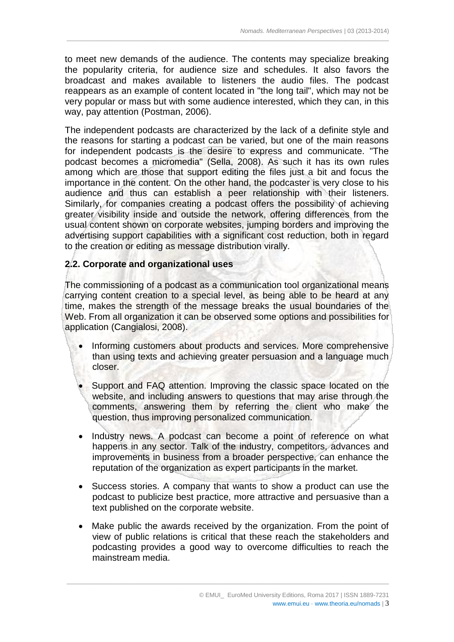to meet new demands of the audience. The contents may specialize breaking the popularity criteria, for audience size and schedules. It also favors the broadcast and makes available to listeners the audio files. The podcast reappears as an example of content located in "the long tail", which may not be very popular or mass but with some audience interested, which they can, in this way, pay attention (Postman, 2006).

 $\_$  ,  $\_$  ,  $\_$  ,  $\_$  ,  $\_$  ,  $\_$  ,  $\_$  ,  $\_$  ,  $\_$  ,  $\_$  ,  $\_$  ,  $\_$  ,  $\_$  ,  $\_$  ,  $\_$  ,  $\_$  ,  $\_$  ,  $\_$  ,  $\_$  ,  $\_$  ,  $\_$  ,  $\_$  ,  $\_$  ,  $\_$  ,  $\_$  ,  $\_$  ,  $\_$  ,  $\_$  ,  $\_$  ,  $\_$  ,  $\_$  ,  $\_$  ,  $\_$  ,  $\_$  ,  $\_$  ,  $\_$  ,  $\_$  ,

The independent podcasts are characterized by the lack of a definite style and the reasons for starting a podcast can be varied, but one of the main reasons for independent podcasts is the desire to express and communicate. "The podcast becomes a micromedia" (Sella, 2008). As such it has its own rules among which are those that support editing the files just a bit and focus the importance in the content. On the other hand, the podcaster is very close to his audience and thus can establish a peer relationship with their listeners. Similarly, for companies creating a podcast offers the possibility of achieving greater visibility inside and outside the network, offering differences from the usual content shown on corporate websites, jumping borders and improving the advertising support capabilities with a significant cost reduction, both in regard to the creation or editing as message distribution virally.

## **2.2. Corporate and organizational uses**

The commissioning of a podcast as a communication tool organizational means carrying content creation to a special level, as being able to be heard at any time, makes the strength of the message breaks the usual boundaries of the Web. From all organization it can be observed some options and possibilities for application (Cangialosi, 2008).

- Informing customers about products and services. More comprehensive than using texts and achieving greater persuasion and a language much closer.
- Support and FAQ attention. Improving the classic space located on the website, and including answers to questions that may arise through the comments, answering them by referring the client who make the question, thus improving personalized communication.
- Industry news. A podcast can become a point of reference on what happens in any sector. Talk of the industry, competitors, advances and improvements in business from a broader perspective, can enhance the reputation of the organization as expert participants in the market.
- Success stories. A company that wants to show a product can use the podcast to publicize best practice, more attractive and persuasive than a text published on the corporate website.
- Make public the awards received by the organization. From the point of view of public relations is critical that these reach the stakeholders and podcasting provides a good way to overcome difficulties to reach the mainstream media.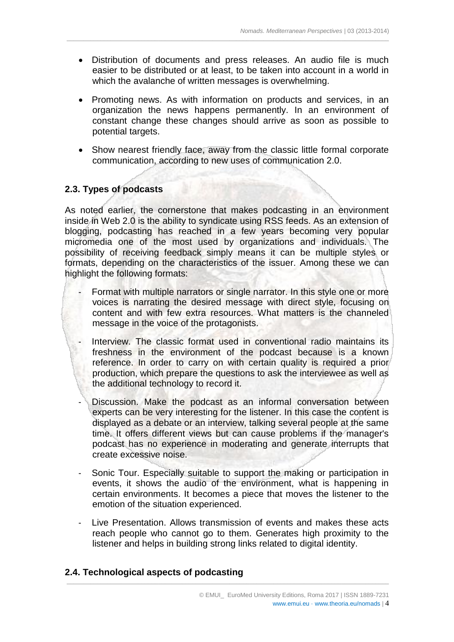Distribution of documents and press releases. An audio file is much easier to be distributed or at least, to be taken into account in a world in which the avalanche of written messages is overwhelming.

 $\_$  ,  $\_$  ,  $\_$  ,  $\_$  ,  $\_$  ,  $\_$  ,  $\_$  ,  $\_$  ,  $\_$  ,  $\_$  ,  $\_$  ,  $\_$  ,  $\_$  ,  $\_$  ,  $\_$  ,  $\_$  ,  $\_$  ,  $\_$  ,  $\_$  ,  $\_$  ,  $\_$  ,  $\_$  ,  $\_$  ,  $\_$  ,  $\_$  ,  $\_$  ,  $\_$  ,  $\_$  ,  $\_$  ,  $\_$  ,  $\_$  ,  $\_$  ,  $\_$  ,  $\_$  ,  $\_$  ,  $\_$  ,  $\_$  ,

- Promoting news. As with information on products and services, in an organization the news happens permanently. In an environment of constant change these changes should arrive as soon as possible to potential targets.
- Show nearest friendly face, away from the classic little formal corporate communication, according to new uses of communication 2.0.

## **2.3. Types of podcasts**

As noted earlier, the cornerstone that makes podcasting in an environment inside in Web 2.0 is the ability to syndicate using RSS feeds. As an extension of blogging, podcasting has reached in a few years becoming very popular micromedia one of the most used by organizations and individuals. The possibility of receiving feedback simply means it can be multiple styles or formats, depending on the characteristics of the issuer. Among these we can highlight the following formats:

- Format with multiple narrators or single narrator. In this style one or more voices is narrating the desired message with direct style, focusing on content and with few extra resources. What matters is the channeled message in the voice of the protagonists.
- Interview. The classic format used in conventional radio maintains its freshness in the environment of the podcast because is a known reference. In order to carry on with certain quality is required a prior production, which prepare the questions to ask the interviewee as well as the additional technology to record it.
- Discussion. Make the podcast as an informal conversation between experts can be very interesting for the listener. In this case the content is displayed as a debate or an interview, talking several people at the same time. It offers different views but can cause problems if the manager's podcast has no experience in moderating and generate interrupts that create excessive noise.
- Sonic Tour. Especially suitable to support the making or participation in events, it shows the audio of the environment, what is happening in certain environments. It becomes a piece that moves the listener to the emotion of the situation experienced.
- Live Presentation. Allows transmission of events and makes these acts reach people who cannot go to them. Generates high proximity to the listener and helps in building strong links related to digital identity.

 $\_$  , and the state of the state of the state of the state of the state of the state of the state of the state of the state of the state of the state of the state of the state of the state of the state of the state of the

# **2.4. Technological aspects of podcasting**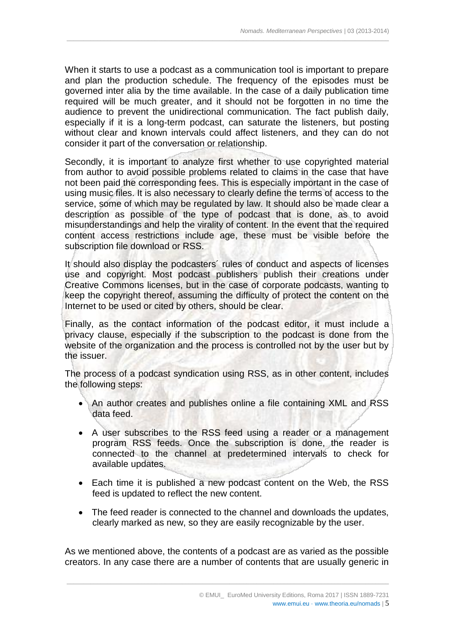When it starts to use a podcast as a communication tool is important to prepare and plan the production schedule. The frequency of the episodes must be governed inter alia by the time available. In the case of a daily publication time required will be much greater, and it should not be forgotten in no time the audience to prevent the unidirectional communication. The fact publish daily, especially if it is a long-term podcast, can saturate the listeners, but posting without clear and known intervals could affect listeners, and they can do not consider it part of the conversation or relationship.

 $\_$  ,  $\_$  ,  $\_$  ,  $\_$  ,  $\_$  ,  $\_$  ,  $\_$  ,  $\_$  ,  $\_$  ,  $\_$  ,  $\_$  ,  $\_$  ,  $\_$  ,  $\_$  ,  $\_$  ,  $\_$  ,  $\_$  ,  $\_$  ,  $\_$  ,  $\_$  ,  $\_$  ,  $\_$  ,  $\_$  ,  $\_$  ,  $\_$  ,  $\_$  ,  $\_$  ,  $\_$  ,  $\_$  ,  $\_$  ,  $\_$  ,  $\_$  ,  $\_$  ,  $\_$  ,  $\_$  ,  $\_$  ,  $\_$  ,

Secondly, it is important to analyze first whether to use copyrighted material from author to avoid possible problems related to claims in the case that have not been paid the corresponding fees. This is especially important in the case of using music files. It is also necessary to clearly define the terms of access to the service, some of which may be regulated by law. It should also be made clear a description as possible of the type of podcast that is done, as to avoid misunderstandings and help the virality of content. In the event that the required content access restrictions include age, these must be visible before the subscription file download or RSS.

It should also display the podcasters´ rules of conduct and aspects of licenses use and copyright. Most podcast publishers publish their creations under Creative Commons licenses, but in the case of corporate podcasts, wanting to keep the copyright thereof, assuming the difficulty of protect the content on the Internet to be used or cited by others, should be clear.

Finally, as the contact information of the podcast editor, it must include a privacy clause, especially if the subscription to the podcast is done from the website of the organization and the process is controlled not by the user but by the issuer.

The process of a podcast syndication using RSS, as in other content, includes the following steps:

- An author creates and publishes online a file containing XML and RSS data feed.
- A user subscribes to the RSS feed using a reader or a management program RSS feeds. Once the subscription is done, the reader is connected to the channel at predetermined intervals to check for available updates.
- Each time it is published a new podcast content on the Web, the RSS feed is updated to reflect the new content.
- The feed reader is connected to the channel and downloads the updates, clearly marked as new, so they are easily recognizable by the user.

As we mentioned above, the contents of a podcast are as varied as the possible creators. In any case there are a number of contents that are usually generic in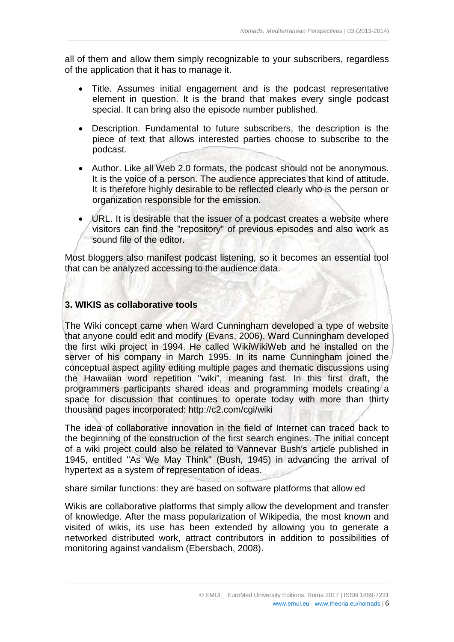all of them and allow them simply recognizable to your subscribers, regardless of the application that it has to manage it.

 $\_$  ,  $\_$  ,  $\_$  ,  $\_$  ,  $\_$  ,  $\_$  ,  $\_$  ,  $\_$  ,  $\_$  ,  $\_$  ,  $\_$  ,  $\_$  ,  $\_$  ,  $\_$  ,  $\_$  ,  $\_$  ,  $\_$  ,  $\_$  ,  $\_$  ,  $\_$  ,  $\_$  ,  $\_$  ,  $\_$  ,  $\_$  ,  $\_$  ,  $\_$  ,  $\_$  ,  $\_$  ,  $\_$  ,  $\_$  ,  $\_$  ,  $\_$  ,  $\_$  ,  $\_$  ,  $\_$  ,  $\_$  ,  $\_$  ,

- Title. Assumes initial engagement and is the podcast representative element in question. It is the brand that makes every single podcast special. It can bring also the episode number published.
- Description. Fundamental to future subscribers, the description is the piece of text that allows interested parties choose to subscribe to the podcast.
- Author. Like all Web 2.0 formats, the podcast should not be anonymous. It is the voice of a person. The audience appreciates that kind of attitude. It is therefore highly desirable to be reflected clearly who is the person or organization responsible for the emission.
- URL. It is desirable that the issuer of a podcast creates a website where visitors can find the "repository" of previous episodes and also work as sound file of the editor.

Most bloggers also manifest podcast listening, so it becomes an essential tool that can be analyzed accessing to the audience data.

# **3. WIKIS as collaborative tools**

The Wiki concept came when Ward Cunningham developed a type of website that anyone could edit and modify (Evans, 2006). Ward Cunningham developed the first wiki project in 1994. He called WikiWikiWeb and he installed on the server of his company in March 1995. In its name Cunningham joined the conceptual aspect agility editing multiple pages and thematic discussions using the Hawaiian word repetition "wiki", meaning fast. In this first draft, the programmers participants shared ideas and programming models creating a space for discussion that continues to operate today with more than thirty thousand pages incorporated:<http://c2.com/cgi/wiki>

The idea of collaborative innovation in the field of Internet can traced back to the beginning of the construction of the first search engines. The initial concept of a wiki project could also be related to Vannevar Bush's article published in 1945, entitled "As We May Think" (Bush, 1945) in advancing the arrival of hypertext as a system of representation of ideas.

share similar functions: they are based on software platforms that allow ed

Wikis are collaborative platforms that simply allow the development and transfer of knowledge. After the mass popularization of Wikipedia, the most known and visited of wikis, its use has been extended by allowing you to generate a networked distributed work, attract contributors in addition to possibilities of monitoring against vandalism (Ebersbach, 2008).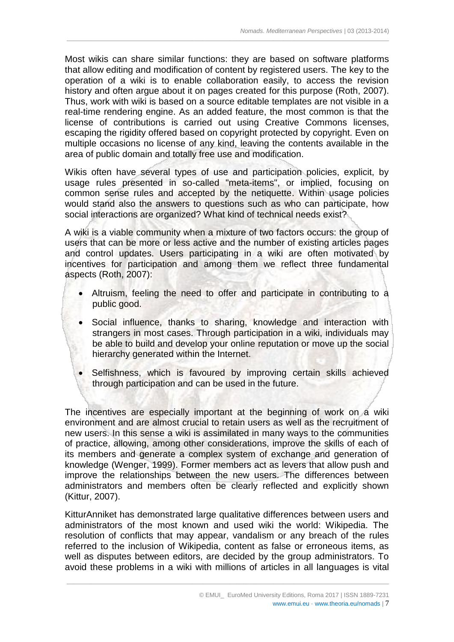Most wikis can share similar functions: they are based on software platforms that allow editing and modification of content by registered users. The key to the operation of a wiki is to enable collaboration easily, to access the revision history and often argue about it on pages created for this purpose (Roth, 2007). Thus, work with wiki is based on a source editable templates are not visible in a real-time rendering engine. As an added feature, the most common is that the license of contributions is carried out using Creative Commons licenses, escaping the rigidity offered based on copyright protected by copyright. Even on multiple occasions no license of any kind, leaving the contents available in the area of public domain and totally free use and modification.

 $\_$  ,  $\_$  ,  $\_$  ,  $\_$  ,  $\_$  ,  $\_$  ,  $\_$  ,  $\_$  ,  $\_$  ,  $\_$  ,  $\_$  ,  $\_$  ,  $\_$  ,  $\_$  ,  $\_$  ,  $\_$  ,  $\_$  ,  $\_$  ,  $\_$  ,  $\_$  ,  $\_$  ,  $\_$  ,  $\_$  ,  $\_$  ,  $\_$  ,  $\_$  ,  $\_$  ,  $\_$  ,  $\_$  ,  $\_$  ,  $\_$  ,  $\_$  ,  $\_$  ,  $\_$  ,  $\_$  ,  $\_$  ,  $\_$  ,

Wikis often have several types of use and participation policies, explicit, by usage rules presented in so-called "meta-items", or implied, focusing on common sense rules and accepted by the netiquette. Within usage policies would stand also the answers to questions such as who can participate, how social interactions are organized? What kind of technical needs exist?

A wiki is a viable community when a mixture of two factors occurs: the group of users that can be more or less active and the number of existing articles pages and control updates. Users participating in a wiki are often motivated by incentives for participation and among them we reflect three fundamental aspects (Roth, 2007):

- Altruism, feeling the need to offer and participate in contributing to a public good.
- Social influence, thanks to sharing, knowledge and interaction with strangers in most cases. Through participation in a wiki, individuals may be able to build and develop your online reputation or move up the social hierarchy generated within the Internet.
- Selfishness, which is favoured by improving certain skills achieved through participation and can be used in the future.

The incentives are especially important at the beginning of work on a wiki environment and are almost crucial to retain users as well as the recruitment of new users. In this sense a wiki is assimilated in many ways to the communities of practice, allowing, among other considerations, improve the skills of each of its members and generate a complex system of exchange and generation of knowledge (Wenger, 1999). Former members act as levers that allow push and improve the relationships between the new users. The differences between administrators and members often be clearly reflected and explicitly shown (Kittur, 2007).

KitturAnniket has demonstrated large qualitative differences between users and administrators of the most known and used wiki the world: Wikipedia. The resolution of conflicts that may appear, vandalism or any breach of the rules referred to the inclusion of Wikipedia, content as false or erroneous items, as well as disputes between editors, are decided by the group administrators. To avoid these problems in a wiki with millions of articles in all languages is vital

<sup>©</sup> EMUI\_ EuroMed University Editions, Roma 2017 | ISSN 1889-7231 www.emui.eu · www.theoria.eu/nomads | 7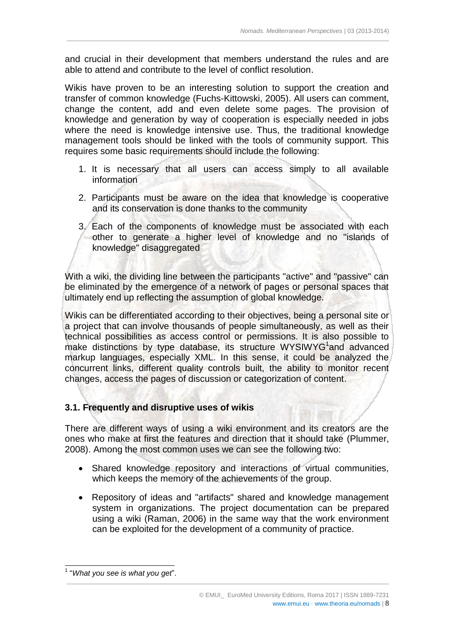and crucial in their development that members understand the rules and are able to attend and contribute to the level of conflict resolution.

 $\_$  ,  $\_$  ,  $\_$  ,  $\_$  ,  $\_$  ,  $\_$  ,  $\_$  ,  $\_$  ,  $\_$  ,  $\_$  ,  $\_$  ,  $\_$  ,  $\_$  ,  $\_$  ,  $\_$  ,  $\_$  ,  $\_$  ,  $\_$  ,  $\_$  ,  $\_$  ,  $\_$  ,  $\_$  ,  $\_$  ,  $\_$  ,  $\_$  ,  $\_$  ,  $\_$  ,  $\_$  ,  $\_$  ,  $\_$  ,  $\_$  ,  $\_$  ,  $\_$  ,  $\_$  ,  $\_$  ,  $\_$  ,  $\_$  ,

Wikis have proven to be an interesting solution to support the creation and transfer of common knowledge (Fuchs-Kittowski, 2005). All users can comment, change the content, add and even delete some pages. The provision of knowledge and generation by way of cooperation is especially needed in jobs where the need is knowledge intensive use. Thus, the traditional knowledge management tools should be linked with the tools of community support. This requires some basic requirements should include the following:

- 1. It is necessary that all users can access simply to all available information
- 2. Participants must be aware on the idea that knowledge is cooperative and its conservation is done thanks to the community
- 3. Each of the components of knowledge must be associated with each other to generate a higher level of knowledge and no "islands of knowledge" disaggregated

With a wiki, the dividing line between the participants "active" and "passive" can be eliminated by the emergence of a network of pages or personal spaces that ultimately end up reflecting the assumption of global knowledge.

Wikis can be differentiated according to their objectives, being a personal site or a project that can involve thousands of people simultaneously, as well as their technical possibilities as access control or permissions. It is also possible to make distinctions by type database, its structure WYSIWYG1and advanced markup languages, especially XML. In this sense, it could be analyzed the concurrent links, different quality controls built, the ability to monitor recent changes, access the pages of discussion or categorization of content.

### **3.1. Frequently and disruptive uses of wikis**

There are different ways of using a wiki environment and its creators are the ones who make at first the features and direction that it should take (Plummer, 2008). Among the most common uses we can see the following two:

- Shared knowledge repository and interactions of virtual communities, which keeps the memory of the achievements of the group.
- Repository of ideas and "artifacts" shared and knowledge management system in organizations. The project documentation can be prepared using a wiki (Raman, 2006) in the same way that the work environment can be exploited for the development of a community of practice.

 1 "*What you see is what you get*".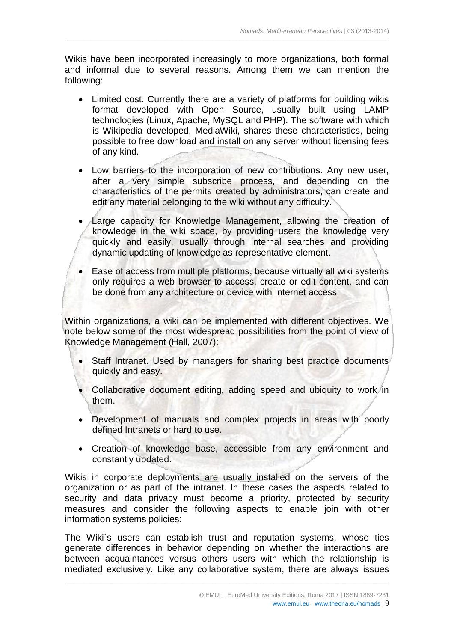Wikis have been incorporated increasingly to more organizations, both formal and informal due to several reasons. Among them we can mention the following:

 $\_$  ,  $\_$  ,  $\_$  ,  $\_$  ,  $\_$  ,  $\_$  ,  $\_$  ,  $\_$  ,  $\_$  ,  $\_$  ,  $\_$  ,  $\_$  ,  $\_$  ,  $\_$  ,  $\_$  ,  $\_$  ,  $\_$  ,  $\_$  ,  $\_$  ,  $\_$  ,  $\_$  ,  $\_$  ,  $\_$  ,  $\_$  ,  $\_$  ,  $\_$  ,  $\_$  ,  $\_$  ,  $\_$  ,  $\_$  ,  $\_$  ,  $\_$  ,  $\_$  ,  $\_$  ,  $\_$  ,  $\_$  ,  $\_$  ,

- Limited cost. Currently there are a variety of platforms for building wikis format developed with Open Source, usually built using LAMP technologies (Linux, Apache, MySQL and PHP). The software with which is Wikipedia developed, MediaWiki, shares these characteristics, being possible to free download and install on any server without licensing fees of any kind.
- Low barriers to the incorporation of new contributions. Any new user, after a very simple subscribe process, and depending on the characteristics of the permits created by administrators, can create and edit any material belonging to the wiki without any difficulty.
- Large capacity for Knowledge Management, allowing the creation of knowledge in the wiki space, by providing users the knowledge very quickly and easily, usually through internal searches and providing dynamic updating of knowledge as representative element.
- Ease of access from multiple platforms, because virtually all wiki systems only requires a web browser to access, create or edit content, and can be done from any architecture or device with Internet access.

Within organizations, a wiki can be implemented with different objectives. We note below some of the most widespread possibilities from the point of view of Knowledge Management (Hall, 2007):

- Staff Intranet. Used by managers for sharing best practice documents quickly and easy.
- Collaborative document editing, adding speed and ubiquity to work in them.
- Development of manuals and complex projects in areas with poorly defined Intranets or hard to use.
- Creation of knowledge base, accessible from any environment and constantly updated.

Wikis in corporate deployments are usually installed on the servers of the organization or as part of the intranet. In these cases the aspects related to security and data privacy must become a priority, protected by security measures and consider the following aspects to enable join with other information systems policies:

The Wiki´s users can establish trust and reputation systems, whose ties generate differences in behavior depending on whether the interactions are between acquaintances versus others users with which the relationship is mediated exclusively. Like any collaborative system, there are always issues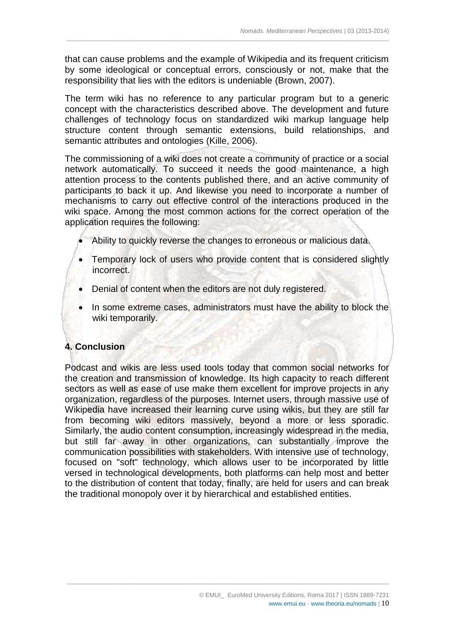that can cause problems and the example of Wikipedia and its frequent criticism by some ideological or conceptual errors, consciously or not, make that the responsibility that lies with the editors is undeniable (Brown, 2007).

 $\_$  ,  $\_$  ,  $\_$  ,  $\_$  ,  $\_$  ,  $\_$  ,  $\_$  ,  $\_$  ,  $\_$  ,  $\_$  ,  $\_$  ,  $\_$  ,  $\_$  ,  $\_$  ,  $\_$  ,  $\_$  ,  $\_$  ,  $\_$  ,  $\_$  ,  $\_$  ,  $\_$  ,  $\_$  ,  $\_$  ,  $\_$  ,  $\_$  ,  $\_$  ,  $\_$  ,  $\_$  ,  $\_$  ,  $\_$  ,  $\_$  ,  $\_$  ,  $\_$  ,  $\_$  ,  $\_$  ,  $\_$  ,  $\_$  ,

The term wiki has no reference to any particular program but to a generic concept with the characteristics described above. The development and future challenges of technology focus on standardized wiki markup language help structure content through semantic extensions, build relationships, and semantic attributes and ontologies (Kille, 2006).

The commissioning of a wiki does not create a community of practice or a social network automatically. To succeed it needs the good maintenance, a high attention process to the contents published there, and an active community of participants to back it up. And likewise you need to incorporate a number of mechanisms to carry out effective control of the interactions produced in the wiki space. Among the most common actions for the correct operation of the application requires the following:

- Ability to quickly reverse the changes to erroneous or malicious data.
- Temporary lock of users who provide content that is considered slightly incorrect.
- Denial of content when the editors are not duly registered.
- In some extreme cases, administrators must have the ability to block the wiki temporarily.

## **4. Conclusion**

Podcast and wikis are less used tools today that common social networks for the creation and transmission of knowledge. Its high capacity to reach different sectors as well as ease of use make them excellent for improve projects in any organization, regardless of the purposes. Internet users, through massive use of Wikipedia have increased their learning curve using wikis, but they are still far from becoming wiki editors massively, beyond a more or less sporadic. Similarly, the audio content consumption, increasingly widespread in the media, but still far away in other organizations, can substantially improve the communication possibilities with stakeholders. With intensive use of technology, focused on "soft" technology, which allows user to be incorporated by little versed in technological developments, both platforms can help most and better to the distribution of content that today, finally, are held for users and can break the traditional monopoly over it by hierarchical and established entities.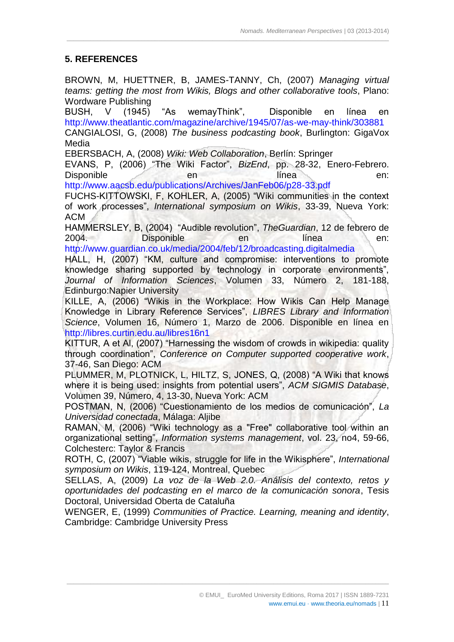# **5. REFERENCES**

BROWN, M, HUETTNER, B, JAMES-TANNY, Ch, (2007) *Managing virtual teams: getting the most from Wikis, Blogs and other collaborative tools*, Plano: Wordware Publishing

 $\_$  ,  $\_$  ,  $\_$  ,  $\_$  ,  $\_$  ,  $\_$  ,  $\_$  ,  $\_$  ,  $\_$  ,  $\_$  ,  $\_$  ,  $\_$  ,  $\_$  ,  $\_$  ,  $\_$  ,  $\_$  ,  $\_$  ,  $\_$  ,  $\_$  ,  $\_$  ,  $\_$  ,  $\_$  ,  $\_$  ,  $\_$  ,  $\_$  ,  $\_$  ,  $\_$  ,  $\_$  ,  $\_$  ,  $\_$  ,  $\_$  ,  $\_$  ,  $\_$  ,  $\_$  ,  $\_$  ,  $\_$  ,  $\_$  ,

BUSH, V (1945) "As wemayThink", Disponible en línea en <http://www.theatlantic.com/magazine/archive/1945/07/as-we-may-think/303881>

CANGIALOSI, G, (2008) *The business podcasting book*, Burlington: GigaVox Media

EBERSBACH, A, (2008) *Wiki: Web Collaboration*, Berlín: Springer

EVANS, P, (2006) "The Wiki Factor", *BizEnd*, pp. 28-32, Enero-Febrero. Disponible en en: línea en:

<http://www.aacsb.edu/publications/Archives/JanFeb06/p28-33.pdf>

FUCHS-KITTOWSKI, F, KOHLER, A, (2005) "Wiki communities in the context of work processes", *International symposium on Wikis*, 33-39, Nueva York: ACM

HAMMERSLEY, B, (2004) "Audible revolution", *TheGuardian*, 12 de febrero de 2004. Disponible en línea en:

<http://www.guardian.co.uk/media/2004/feb/12/broadcasting.digitalmedia>

HALL, H, (2007) "KM, culture and compromise: interventions to promote knowledge sharing supported by technology in corporate environments", *Journal of Information Sciences*, Volumen 33, Número 2, 181-188, Edinburgo:Napier University

KILLE, A, (2006) "Wikis in the Workplace: How Wikis Can Help Manage Knowledge in Library Reference Services", *LIBRES Library and Information Science*, Volumen 16, Número 1, Marzo de 2006. Disponible en línea en <http://libres.curtin.edu.au/libres16n1>

KITTUR, A et Al, (2007) "Harnessing the wisdom of crowds in wikipedia: quality through coordination", *Conference on Computer supported cooperative work*, 37-46, San Diego: ACM

PLUMMER, M, PLOTNICK, L, HILTZ, S, JONES, Q, (2008) "A Wiki that knows where it is being used: insights from potential users", *ACM SIGMIS Database*, Volumen 39, Número, 4, 13-30, Nueva York: ACM

POSTMAN, N, (2006) "Cuestionamiento de los medios de comunicación", *La Universidad conectada*, Málaga: Aljibe

RAMAN, M, (2006) "Wiki technology as a "Free" collaborative tool within an organizational setting", *Information systems management*, vol. 23, no4, 59-66, Colchesterc: Taylor & Francis

ROTH, C, (2007) "Viable wikis, struggle for life in the Wikisphere", *International symposium on Wikis*, 119-124, Montreal, Quebec

SELLAS, A, (2009) *La voz de la Web 2.0. Análisis del contexto, retos y oportunidades del podcasting en el marco de la comunicación sonora*, Tesis Doctoral, Universidad Oberta de Cataluña

WENGER, E, (1999) *Communities of Practice. Learning, meaning and identity*, Cambridge: Cambridge University Press